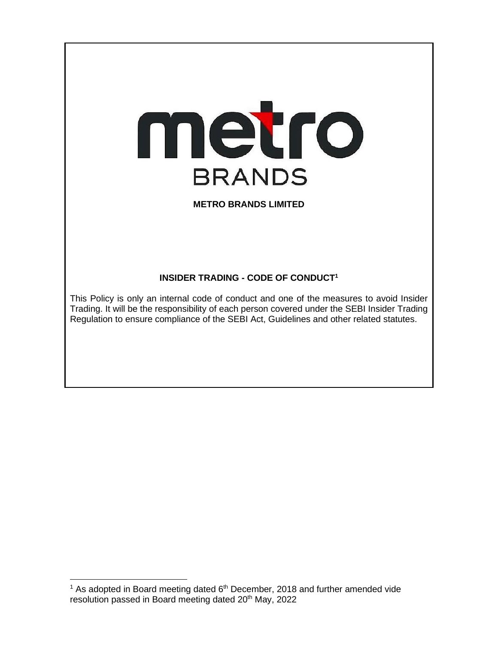

# **METRO BRANDS LIMITED**

# **INSIDER TRADING - CODE OF CONDUCT<sup>1</sup>**

This Policy is only an internal code of conduct and one of the measures to avoid Insider Trading. It will be the responsibility of each person covered under the SEBI Insider Trading Regulation to ensure compliance of the SEBI Act, Guidelines and other related statutes.

 $1$  As adopted in Board meeting dated  $6<sup>th</sup>$  December, 2018 and further amended vide resolution passed in Board meeting dated 20<sup>th</sup> May, 2022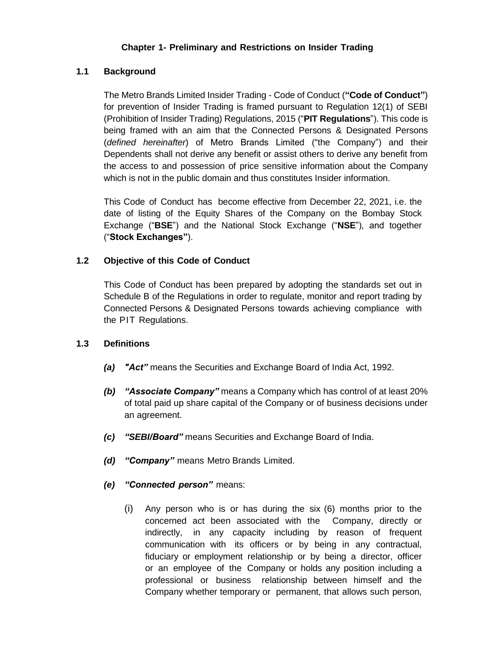### **Chapter 1- Preliminary and Restrictions on Insider Trading**

### **1.1 Background**

The Metro Brands Limited Insider Trading - Code of Conduct (**"Code of Conduct"**) for prevention of Insider Trading is framed pursuant to Regulation 12(1) of SEBI (Prohibition of Insider Trading) Regulations, 2015 ("**PIT Regulations**"). This code is being framed with an aim that the Connected Persons & Designated Persons (*defined hereinafter*) of Metro Brands Limited ("the Company") and their Dependents shall not derive any benefit or assist others to derive any benefit from the access to and possession of price sensitive information about the Company which is not in the public domain and thus constitutes Insider information.

This Code of Conduct has become effective from December 22, 2021, i.e. the date of listing of the Equity Shares of the Company on the Bombay Stock Exchange ("**BSE**") and the National Stock Exchange ("**NSE**"), and together ("**Stock Exchanges"**).

### **1.2 Objective of this Code of Conduct**

This Code of Conduct has been prepared by adopting the standards set out in Schedule B of the Regulations in order to regulate, monitor and report trading by Connected Persons & Designated Persons towards achieving compliance with the PIT Regulations.

### **1.3 Definitions**

- *(a) "Act"* means the Securities and Exchange Board of India Act, 1992.
- *(b) "Associate Company"* means a Company which has control of at least 20% of total paid up share capital of the Company or of business decisions under an agreement.
- *(c) "SEBI/Board"* means Securities and Exchange Board of India.
- *(d) "Company"* means Metro Brands Limited.
- *(e) "Connected person"* means:
	- (i) Any person who is or has during the six (6) months prior to the concerned act been associated with the Company, directly or indirectly, in any capacity including by reason of frequent communication with its officers or by being in any contractual, fiduciary or employment relationship or by being a director, officer or an employee of the Company or holds any position including a professional or business relationship between himself and the Company whether temporary or permanent, that allows such person,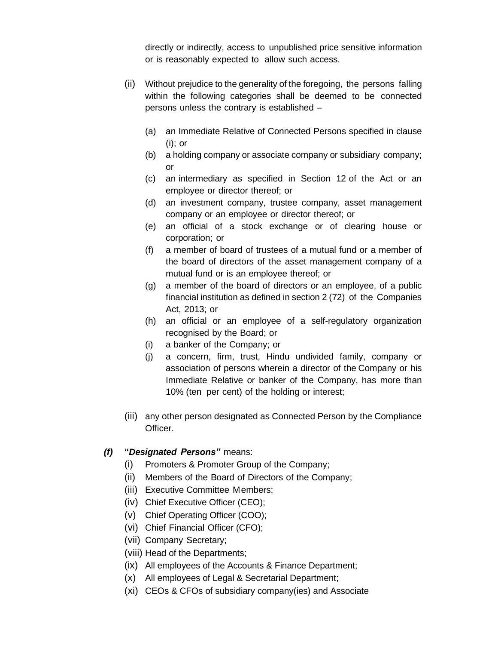directly or indirectly, access to unpublished price sensitive information or is reasonably expected to allow such access.

- (ii) Without prejudice to the generality of the foregoing, the persons falling within the following categories shall be deemed to be connected persons unless the contrary is established –
	- (a) an Immediate Relative of Connected Persons specified in clause (i); or
	- (b) a holding company or associate company or subsidiary company; or
	- (c) an intermediary as specified in Section 12 of the Act or an employee or director thereof; or
	- (d) an investment company, trustee company, asset management company or an employee or director thereof; or
	- (e) an official of a stock exchange or of clearing house or corporation; or
	- (f) a member of board of trustees of a mutual fund or a member of the board of directors of the asset management company of a mutual fund or is an employee thereof; or
	- (g) a member of the board of directors or an employee, of a public financial institution as defined in section 2 (72) of the Companies Act, 2013; or
	- (h) an official or an employee of a self-regulatory organization recognised by the Board; or
	- (i) a banker of the Company; or
	- (j) a concern, firm, trust, Hindu undivided family, company or association of persons wherein a director of the Company or his Immediate Relative or banker of the Company, has more than 10% (ten per cent) of the holding or interest;
- (iii) any other person designated as Connected Person by the Compliance Officer.

# *(f)* **"***Designated Persons"* means:

- (i) Promoters & Promoter Group of the Company;
- (ii) Members of the Board of Directors of the Company;
- (iii) Executive Committee Members;
- (iv) Chief Executive Officer (CEO);
- (v) Chief Operating Officer (COO);
- (vi) Chief Financial Officer (CFO);
- (vii) Company Secretary;
- (viii) Head of the Departments;
- (ix) All employees of the Accounts & Finance Department;
- (x) All employees of Legal & Secretarial Department;
- (xi) CEOs & CFOs of subsidiary company(ies) and Associate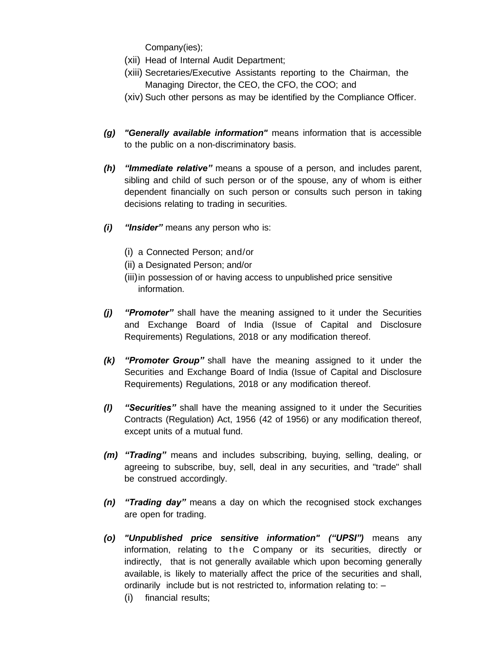Company(ies);

- (xii) Head of Internal Audit Department;
- (xiii) Secretaries/Executive Assistants reporting to the Chairman, the Managing Director, the CEO, the CFO, the COO; and
- (xiv) Such other persons as may be identified by the Compliance Officer.
- *(g) "Generally available information"* means information that is accessible to the public on a non-discriminatory basis.
- *(h) "Immediate relative"* means a spouse of a person, and includes parent, sibling and child of such person or of the spouse, any of whom is either dependent financially on such person or consults such person in taking decisions relating to trading in securities.
- *(i) "Insider"* means any person who is:
	- (i) a Connected Person; and/or
	- (ii) a Designated Person; and/or
	- (iii)in possession of or having access to unpublished price sensitive information.
- *(j) "Promoter"* shall have the meaning assigned to it under the Securities and Exchange Board of India (Issue of Capital and Disclosure Requirements) Regulations, 2018 or any modification thereof.
- *(k) "Promoter Group"* shall have the meaning assigned to it under the Securities and Exchange Board of India (Issue of Capital and Disclosure Requirements) Regulations, 2018 or any modification thereof.
- *(l) "Securities"* shall have the meaning assigned to it under the Securities Contracts (Regulation) Act, 1956 (42 of 1956) or any modification thereof, except units of a mutual fund.
- *(m) "Trading"* means and includes subscribing, buying, selling, dealing, or agreeing to subscribe, buy, sell, deal in any securities, and "trade" shall be construed accordingly.
- *(n) "Trading day"* means a day on which the recognised stock exchanges are open for trading.
- *(o) "Unpublished price sensitive information" ("UPSI")* means any information, relating to the Company or its securities, directly or indirectly, that is not generally available which upon becoming generally available, is likely to materially affect the price of the securities and shall, ordinarily include but is not restricted to, information relating to: –
	- (i) financial results;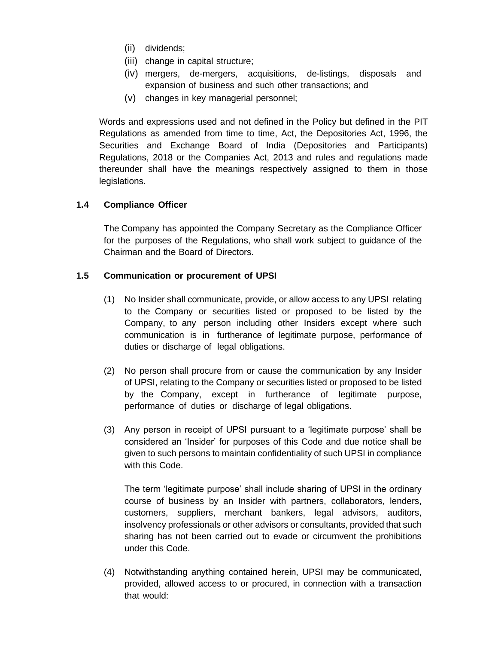- (ii) dividends;
- (iii) change in capital structure;
- (iv) mergers, de-mergers, acquisitions, de-listings, disposals and expansion of business and such other transactions; and
- (v) changes in key managerial personnel;

Words and expressions used and not defined in the Policy but defined in the PIT Regulations as amended from time to time, Act, the Depositories Act, 1996, the Securities and Exchange Board of India (Depositories and Participants) Regulations, 2018 or the Companies Act, 2013 and rules and regulations made thereunder shall have the meanings respectively assigned to them in those legislations.

### **1.4 Compliance Officer**

The Company has appointed the Company Secretary as the Compliance Officer for the purposes of the Regulations, who shall work subject to guidance of the Chairman and the Board of Directors.

### **1.5 Communication or procurement of UPSI**

- (1) No Insider shall communicate, provide, or allow access to any UPSI relating to the Company or securities listed or proposed to be listed by the Company, to any person including other Insiders except where such communication is in furtherance of legitimate purpose, performance of duties or discharge of legal obligations.
- (2) No person shall procure from or cause the communication by any Insider of UPSI, relating to the Company or securities listed or proposed to be listed by the Company, except in furtherance of legitimate purpose, performance of duties or discharge of legal obligations.
- (3) Any person in receipt of UPSI pursuant to a 'legitimate purpose' shall be considered an 'Insider' for purposes of this Code and due notice shall be given to such persons to maintain confidentiality of such UPSI in compliance with this Code.

The term 'legitimate purpose' shall include sharing of UPSI in the ordinary course of business by an Insider with partners, collaborators, lenders, customers, suppliers, merchant bankers, legal advisors, auditors, insolvency professionals or other advisors or consultants, provided that such sharing has not been carried out to evade or circumvent the prohibitions under this Code.

(4) Notwithstanding anything contained herein, UPSI may be communicated, provided, allowed access to or procured, in connection with a transaction that would: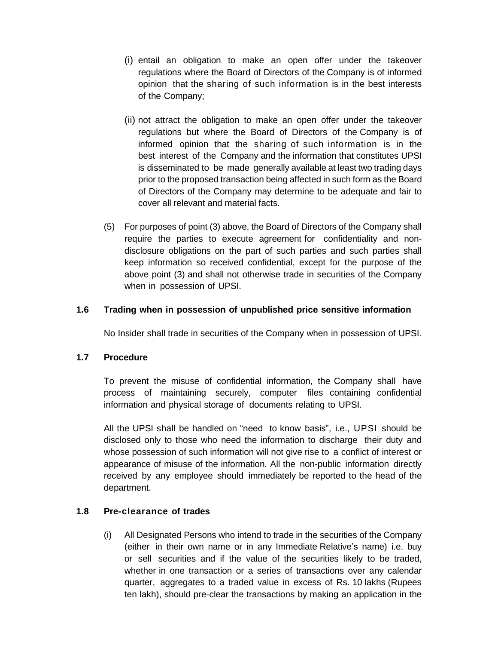- (i) entail an obligation to make an open offer under the takeover regulations where the Board of Directors of the Company is of informed opinion that the sharing of such information is in the best interests of the Company;
- (ii) not attract the obligation to make an open offer under the takeover regulations but where the Board of Directors of the Company is of informed opinion that the sharing of such information is in the best interest of the Company and the information that constitutes UPSI is disseminated to be made generally available at least two trading days prior to the proposed transaction being affected in such form as the Board of Directors of the Company may determine to be adequate and fair to cover all relevant and material facts.
- (5) For purposes of point (3) above, the Board of Directors of the Company shall require the parties to execute agreement for confidentiality and nondisclosure obligations on the part of such parties and such parties shall keep information so received confidential, except for the purpose of the above point (3) and shall not otherwise trade in securities of the Company when in possession of UPSI.

### **1.6 Trading when in possession of unpublished price sensitive information**

No Insider shall trade in securities of the Company when in possession of UPSI.

### **1.7 Procedure**

To prevent the misuse of confidential information, the Company shall have process of maintaining securely, computer files containing confidential information and physical storage of documents relating to UPSI.

All the UPSI shall be handled on "need to know basis", i.e., UPSI should be disclosed only to those who need the information to discharge their duty and whose possession of such information will not give rise to a conflict of interest or appearance of misuse of the information. All the non-public information directly received by any employee should immediately be reported to the head of the department.

# **1.8 Pre-clearance of trades**

(i) All Designated Persons who intend to trade in the securities of the Company (either in their own name or in any Immediate Relative's name) i.e. buy or sell securities and if the value of the securities likely to be traded, whether in one transaction or a series of transactions over any calendar quarter, aggregates to a traded value in excess of Rs. 10 lakhs (Rupees ten lakh), should pre-clear the transactions by making an application in the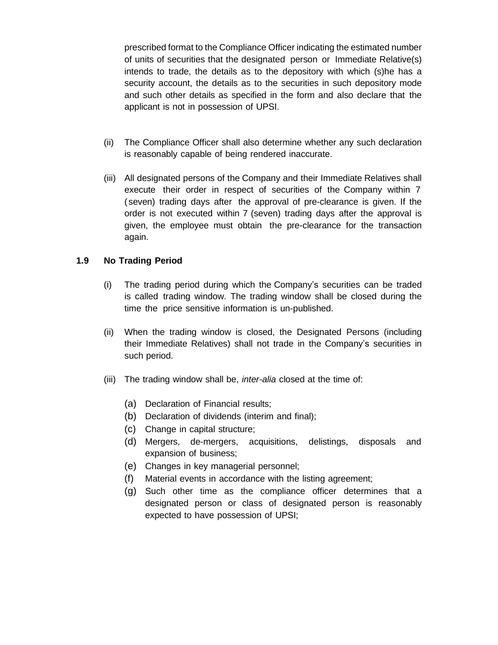prescribed format to the Compliance Officer indicating the estimated number of units of securities that the designated person or Immediate Relative(s) intends to trade, the details as to the depository with which (s)he has a security account, the details as to the securities in such depository mode and such other details as specified in the form and also declare that the applicant is not in possession of UPSI.

- (ii) The Compliance Officer shall also determine whether any such declaration is reasonably capable of being rendered inaccurate.
- (iii) All designated persons of the Company and their Immediate Relatives shall execute their order in respect of securities of the Company within 7 (seven) trading days after the approval of pre-clearance is given. If the order is not executed within 7 (seven) trading days after the approval is given, the employee must obtain the pre-clearance for the transaction again.

### **1.9 No Trading Period**

- (i) The trading period during which the Company's securities can be traded is called trading window. The trading window shall be closed during the time the price sensitive information is un-published.
- (ii) When the trading window is closed, the Designated Persons (including their Immediate Relatives) shall not trade in the Company's securities in such period.
- (iii) The trading window shall be, *inter-alia* closed at the time of:
	- (a) Declaration of Financial results;
	- (b) Declaration of dividends (interim and final);
	- (c) Change in capital structure;
	- (d) Mergers, de-mergers, acquisitions, delistings, disposals and expansion of business;
	- (e) Changes in key managerial personnel;
	- (f) Material events in accordance with the listing agreement;
	- (g) Such other time as the compliance officer determines that a designated person or class of designated person is reasonably expected to have possession of UPSI;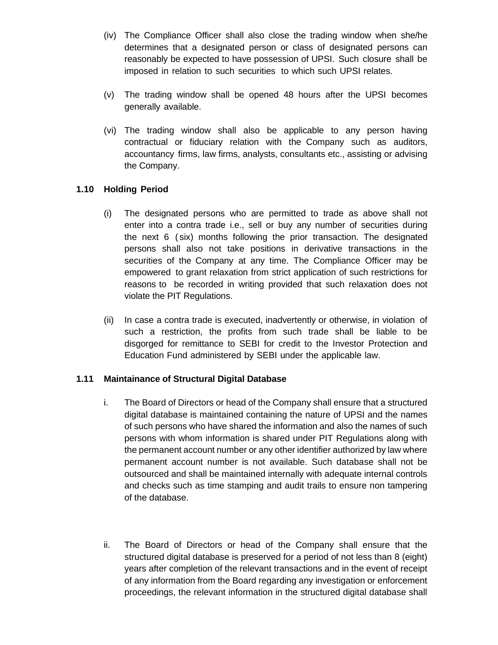- (iv) The Compliance Officer shall also close the trading window when she/he determines that a designated person or class of designated persons can reasonably be expected to have possession of UPSI. Such closure shall be imposed in relation to such securities to which such UPSI relates.
- (v) The trading window shall be opened 48 hours after the UPSI becomes generally available.
- (vi) The trading window shall also be applicable to any person having contractual or fiduciary relation with the Company such as auditors, accountancy firms, law firms, analysts, consultants etc., assisting or advising the Company.

### **1.10 Holding Period**

- (i) The designated persons who are permitted to trade as above shall not enter into a contra trade i.e., sell or buy any number of securities during the next 6 ( six) months following the prior transaction. The designated persons shall also not take positions in derivative transactions in the securities of the Company at any time. The Compliance Officer may be empowered to grant relaxation from strict application of such restrictions for reasons to be recorded in writing provided that such relaxation does not violate the PIT Regulations.
- (ii) In case a contra trade is executed, inadvertently or otherwise, in violation of such a restriction, the profits from such trade shall be liable to be disgorged for remittance to SEBI for credit to the Investor Protection and Education Fund administered by SEBI under the applicable law.

# **1.11 Maintainance of Structural Digital Database**

- i. The Board of Directors or head of the Company shall ensure that a structured digital database is maintained containing the nature of UPSI and the names of such persons who have shared the information and also the names of such persons with whom information is shared under PIT Regulations along with the permanent account number or any other identifier authorized by law where permanent account number is not available. Such database shall not be outsourced and shall be maintained internally with adequate internal controls and checks such as time stamping and audit trails to ensure non tampering of the database.
- ii. The Board of Directors or head of the Company shall ensure that the structured digital database is preserved for a period of not less than 8 (eight) years after completion of the relevant transactions and in the event of receipt of any information from the Board regarding any investigation or enforcement proceedings, the relevant information in the structured digital database shall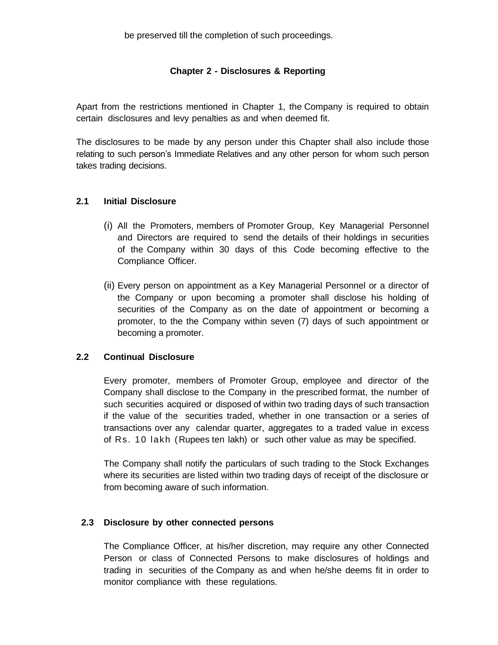### **Chapter 2 - Disclosures & Reporting**

Apart from the restrictions mentioned in Chapter 1, the Company is required to obtain certain disclosures and levy penalties as and when deemed fit.

The disclosures to be made by any person under this Chapter shall also include those relating to such person's Immediate Relatives and any other person for whom such person takes trading decisions.

### **2.1 Initial Disclosure**

- (i) All the Promoters, members of Promoter Group, Key Managerial Personnel and Directors are required to send the details of their holdings in securities of the Company within 30 days of this Code becoming effective to the Compliance Officer.
- (ii) Every person on appointment as a Key Managerial Personnel or a director of the Company or upon becoming a promoter shall disclose his holding of securities of the Company as on the date of appointment or becoming a promoter, to the the Company within seven (7) days of such appointment or becoming a promoter.

### **2.2 Continual Disclosure**

Every promoter, members of Promoter Group, employee and director of the Company shall disclose to the Company in the prescribed format, the number of such securities acquired or disposed of within two trading days of such transaction if the value of the securities traded, whether in one transaction or a series of transactions over any calendar quarter, aggregates to a traded value in excess of Rs. 10 lakh (Rupees ten lakh) or such other value as may be specified.

The Company shall notify the particulars of such trading to the Stock Exchanges where its securities are listed within two trading days of receipt of the disclosure or from becoming aware of such information.

### **2.3 Disclosure by other connected persons**

The Compliance Officer, at his/her discretion, may require any other Connected Person or class of Connected Persons to make disclosures of holdings and trading in securities of the Company as and when he/she deems fit in order to monitor compliance with these regulations.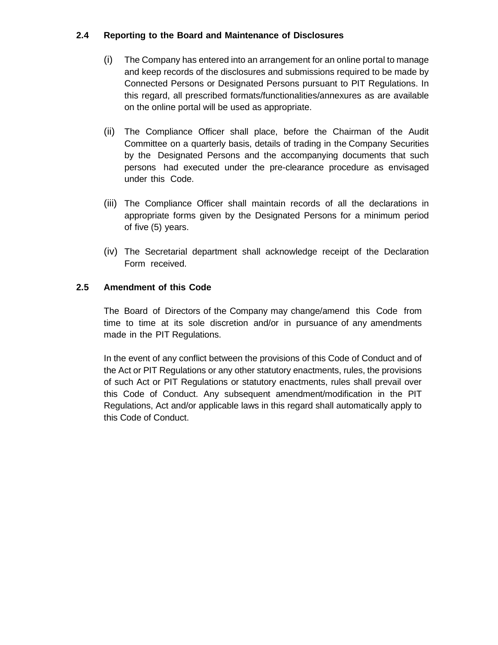## **2.4 Reporting to the Board and Maintenance of Disclosures**

- (i) The Company has entered into an arrangement for an online portal to manage and keep records of the disclosures and submissions required to be made by Connected Persons or Designated Persons pursuant to PIT Regulations. In this regard, all prescribed formats/functionalities/annexures as are available on the online portal will be used as appropriate.
- (ii) The Compliance Officer shall place, before the Chairman of the Audit Committee on a quarterly basis, details of trading in the Company Securities by the Designated Persons and the accompanying documents that such persons had executed under the pre-clearance procedure as envisaged under this Code.
- (iii) The Compliance Officer shall maintain records of all the declarations in appropriate forms given by the Designated Persons for a minimum period of five (5) years.
- (iv) The Secretarial department shall acknowledge receipt of the Declaration Form received.

### **2.5 Amendment of this Code**

The Board of Directors of the Company may change/amend this Code from time to time at its sole discretion and/or in pursuance of any amendments made in the PIT Regulations.

In the event of any conflict between the provisions of this Code of Conduct and of the Act or PIT Regulations or any other statutory enactments, rules, the provisions of such Act or PIT Regulations or statutory enactments, rules shall prevail over this Code of Conduct. Any subsequent amendment/modification in the PIT Regulations, Act and/or applicable laws in this regard shall automatically apply to this Code of Conduct.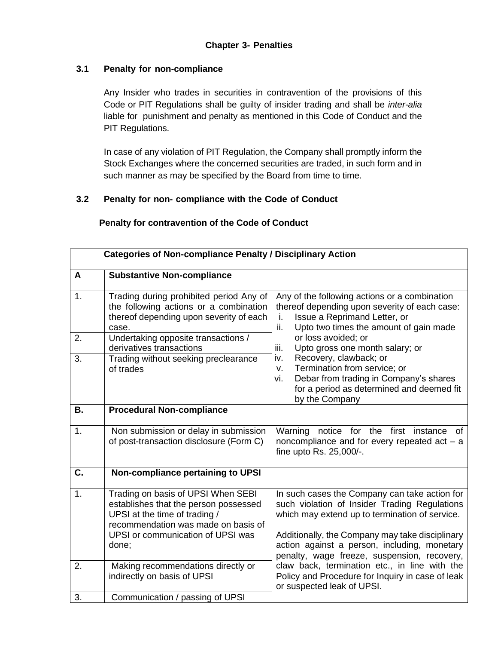### **3.1 Penalty for non-compliance**

Any Insider who trades in securities in contravention of the provisions of this Code or PIT Regulations shall be guilty of insider trading and shall be *inter-alia* liable for punishment and penalty as mentioned in this Code of Conduct and the PIT Regulations.

In case of any violation of PIT Regulation, the Company shall promptly inform the Stock Exchanges where the concerned securities are traded, in such form and in such manner as may be specified by the Board from time to time.

### **3.2 Penalty for non- compliance with the Code of Conduct**

| <b>Categories of Non-compliance Penalty / Disciplinary Action</b> |                                                                                                                                                                                                   |                                                                                                                                                                                                                                                                                                    |
|-------------------------------------------------------------------|---------------------------------------------------------------------------------------------------------------------------------------------------------------------------------------------------|----------------------------------------------------------------------------------------------------------------------------------------------------------------------------------------------------------------------------------------------------------------------------------------------------|
| A                                                                 | <b>Substantive Non-compliance</b>                                                                                                                                                                 |                                                                                                                                                                                                                                                                                                    |
| 1.                                                                | Trading during prohibited period Any of<br>the following actions or a combination<br>thereof depending upon severity of each<br>case.                                                             | Any of the following actions or a combination<br>thereof depending upon severity of each case:<br>Issue a Reprimand Letter, or<br>i.<br>Upto two times the amount of gain made<br>ii.                                                                                                              |
| 2.                                                                | Undertaking opposite transactions /<br>derivatives transactions                                                                                                                                   | or loss avoided; or<br>Upto gross one month salary; or<br>iii.                                                                                                                                                                                                                                     |
| 3.                                                                | Trading without seeking preclearance<br>of trades                                                                                                                                                 | Recovery, clawback; or<br>iv.<br>Termination from service; or<br>v.<br>Debar from trading in Company's shares<br>vi.<br>for a period as determined and deemed fit<br>by the Company                                                                                                                |
| <b>B.</b>                                                         | <b>Procedural Non-compliance</b>                                                                                                                                                                  |                                                                                                                                                                                                                                                                                                    |
| 1.                                                                | Non submission or delay in submission<br>of post-transaction disclosure (Form C)                                                                                                                  | notice for the first instance of<br>Warning<br>noncompliance and for every repeated act $-$ a<br>fine upto Rs. 25,000/-.                                                                                                                                                                           |
| C.                                                                | Non-compliance pertaining to UPSI                                                                                                                                                                 |                                                                                                                                                                                                                                                                                                    |
| 1.                                                                | Trading on basis of UPSI When SEBI<br>establishes that the person possessed<br>UPSI at the time of trading /<br>recommendation was made on basis of<br>UPSI or communication of UPSI was<br>done; | In such cases the Company can take action for<br>such violation of Insider Trading Regulations<br>which may extend up to termination of service.<br>Additionally, the Company may take disciplinary<br>action against a person, including, monetary<br>penalty, wage freeze, suspension, recovery, |
| 2.                                                                | Making recommendations directly or<br>indirectly on basis of UPSI                                                                                                                                 | claw back, termination etc., in line with the<br>Policy and Procedure for Inquiry in case of leak<br>or suspected leak of UPSI.                                                                                                                                                                    |
| 3.                                                                | Communication / passing of UPSI                                                                                                                                                                   |                                                                                                                                                                                                                                                                                                    |

### **Penalty for contravention of the Code of Conduct**